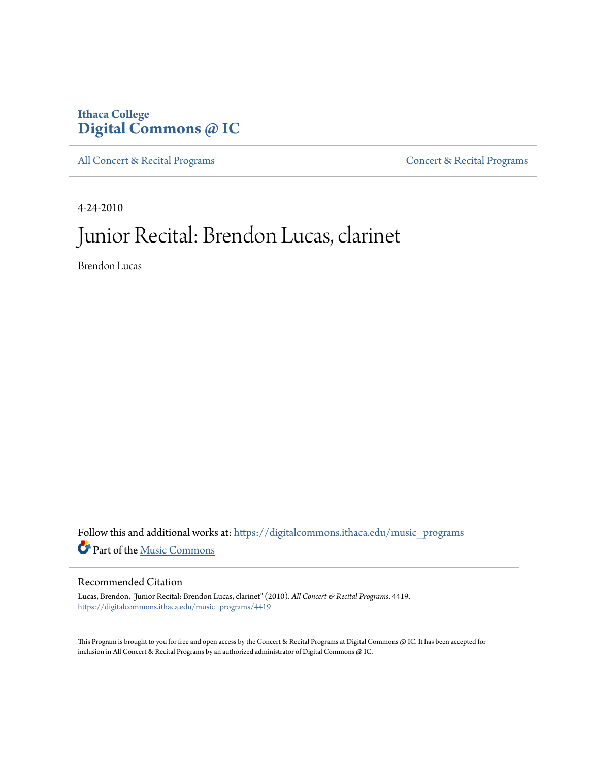### **Ithaca College [Digital Commons @ IC](https://digitalcommons.ithaca.edu?utm_source=digitalcommons.ithaca.edu%2Fmusic_programs%2F4419&utm_medium=PDF&utm_campaign=PDFCoverPages)**

[All Concert & Recital Programs](https://digitalcommons.ithaca.edu/music_programs?utm_source=digitalcommons.ithaca.edu%2Fmusic_programs%2F4419&utm_medium=PDF&utm_campaign=PDFCoverPages) **[Concert & Recital Programs](https://digitalcommons.ithaca.edu/som_programs?utm_source=digitalcommons.ithaca.edu%2Fmusic_programs%2F4419&utm_medium=PDF&utm_campaign=PDFCoverPages)** 

4-24-2010

## Junior Recital: Brendon Lucas, clarinet

Brendon Lucas

Follow this and additional works at: [https://digitalcommons.ithaca.edu/music\\_programs](https://digitalcommons.ithaca.edu/music_programs?utm_source=digitalcommons.ithaca.edu%2Fmusic_programs%2F4419&utm_medium=PDF&utm_campaign=PDFCoverPages) Part of the [Music Commons](http://network.bepress.com/hgg/discipline/518?utm_source=digitalcommons.ithaca.edu%2Fmusic_programs%2F4419&utm_medium=PDF&utm_campaign=PDFCoverPages)

### Recommended Citation

Lucas, Brendon, "Junior Recital: Brendon Lucas, clarinet" (2010). *All Concert & Recital Programs*. 4419. [https://digitalcommons.ithaca.edu/music\\_programs/4419](https://digitalcommons.ithaca.edu/music_programs/4419?utm_source=digitalcommons.ithaca.edu%2Fmusic_programs%2F4419&utm_medium=PDF&utm_campaign=PDFCoverPages)

This Program is brought to you for free and open access by the Concert & Recital Programs at Digital Commons @ IC. It has been accepted for inclusion in All Concert & Recital Programs by an authorized administrator of Digital Commons @ IC.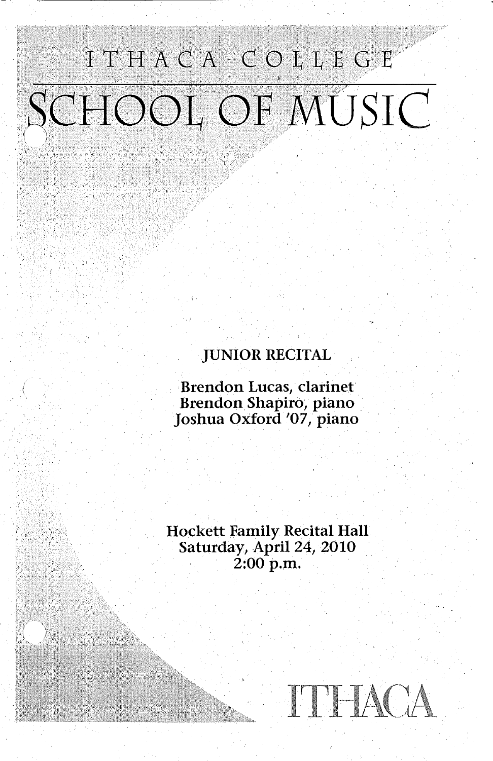# ITHACA COLLEGE SCHOOL OF MUSIC

### JUNIOR RECITAL

Brendon Lucas, clarinet Brendon Shapiro, piano Joshua Oxford '07, piano

Hockett Family Recital Hall Saturday, April 24, 2010 2:00 p.m.

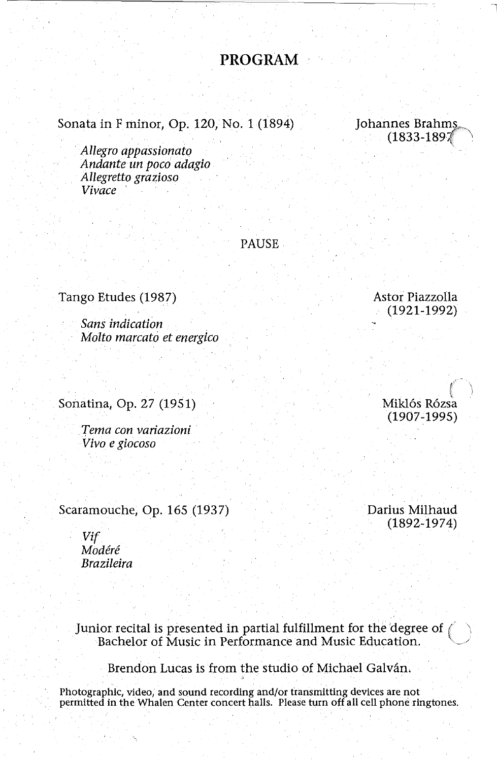### **PROGRAM**

Sonata in F minor, Op. 120, No. 1 (1894)

Johannes Brahms  $(1833 - 1897)$ 

> Astor Piazzolla (1921-1992)

Miklós Rózsa (1907~1995)

*Allegro appassionato Andante un poco adagio Allegretto grazioso Vivace* ·

PAUSE

#### Tango Etudes (1987)

*Sans indication Molto marcato et energico* 

Sonatina, Op. 27 (1951)

*Terna con variazioni Vivo e giocoso* 

Scaramouche, Op. 165 (1937)

Darius Milhaud  $(1892 - 1974)$ 

*Vif Madere Brazileira* 

Junior recital is presented in partial fulfillment for the degree of  $\ell \to$ Bachelor of Music in Performance and Music Education.  $\hskip10mm \big\backslash$ 

Brendon Lucas is from the studio of Michael Galván.

Photographic, video, and sound recording and/or transmitting devices are not permitted in the Whalen Center concert halls. Please turn off all cell phone ringtones.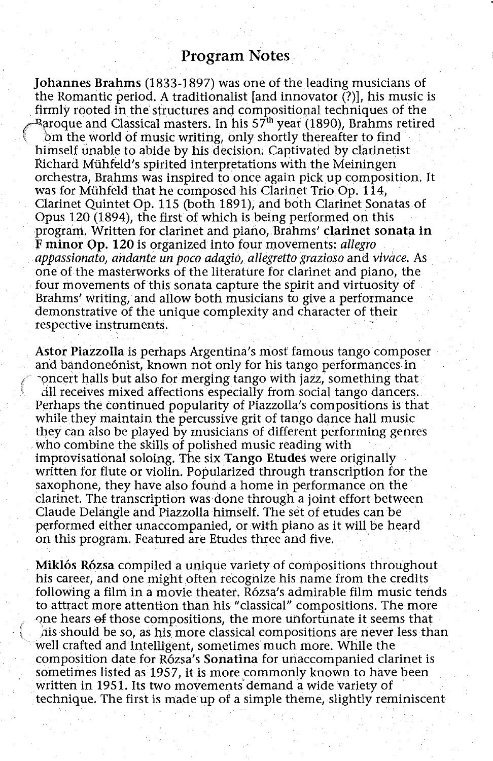Johannes Brahms (1833-1897) was one of the leading musicians of the Romantic period. A traditionalist [and innovator (?)], his music is firmly rooted in the structures and compositional techniques of the  $\frac{1}{2}$  aroque and Classical masters. In his 57<sup>th</sup> year (1890), Brahms retired \ bm the world of music writing, only shortly thereafter to find himself unable to abide by his decision; Captivated by clarinetist Richard Mühfeld's spirited interpretations with the Meiningen orchestra, Brahms was inspired to once again pick up composition. It was for Mühfeld that he composed his Clarinet Trio Op. 114. Clarinet Quintet Op. 115 (both 1891), and both Clarinet Sonatas of Opus 120 (1894), the first of which is being performed on this program. Written for clarinet and piano, Brahms' clarinet sonata in F minot Op. 120 is organized into four movements: *allegro appassionato, andante un poco adagio, allegretto grazioso* and *vivace.* As one of the masterworks of the literature for clarinet and piano, the four movements of this sonata capture the spirit and virtuosity of Brahms' writing, and allow both musicians to give a performance demonstrative of the unique complexity and character of their respective instruments.

Astor Piazzolla is perhaps Argentina's most famous tango composer and bandone6nist, known not only for his tango performances in -oncert halls but also for merging tango with jazz, something that

dll receives mixed affections especially from social tango dancers. Perhaps the continued popularity of Piazzolla's compositions is that while they maintain the percussive grit of tango dance hall music they can also be played by musicians of different performing genres who combine the skills of polished music reading with improvisational soloing. The six Tango Etudes were originally written for flute or violin. Popularized through transcription for the saxophone, they have also found a home in performance on the clarinet. The transcription was done through a joint effort between Claude Delangle and Piazzolla himself. The set of etudes can be performed either unaccompanied, or with piano as it will be heard on this program. Featured are Etudes three and five.

Miklos R6zsa compiled a unique variety of compositions throughout his career, and one might often recognize his name from the credits following a film in a movie theater. R6zsa's admirable film music tends to attract more attention than his "classical" compositions. The more 0ne hears ef those compositions, the more unfortunate it seems that his should be so, as his more classical compositions are never less than well crafted and intelligent, sometimes much more. While the composition date for R6zsa's Sonatina for unaccompanied clarinet is sometimes listed as 1957, it is more commonly known to have been written in 1951. Its two movements' demand a wide variety of technique. The first is made up of a simple theme, slightly reminiscent